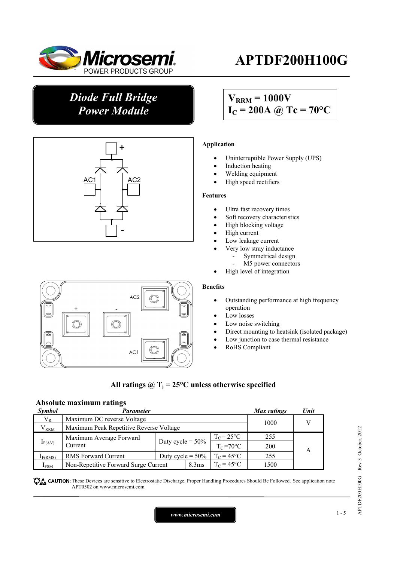

# **APTDF200H100G**

# *Diode Full Bridge Power Module*



# $V_{\text{RRM}} = 1000V$  $I_C = 200A \omega Tc = 70^{\circ}C$

### **Application**

- Uninterruptible Power Supply (UPS)
- Induction heating
- Welding equipment
- High speed rectifiers

#### **Features**

- Ultra fast recovery times
- Soft recovery characteristics
- High blocking voltage
- High current
- Low leakage current
- Very low stray inductance
	- Symmetrical design
	- M5 power connectors
- High level of integration

#### **Benefits**

- Outstanding performance at high frequency operation
- Low losses
- Low noise switching
- Direct mounting to heatsink (isolated package)
- Low junction to case thermal resistance
- RoHS Compliant

## All ratings  $\omega_{\text{I}} = 25^{\circ}\text{C}$  unless otherwise specified

## **Absolute maximum ratings**

| <b>Symbol</b>       | Parameter                                                 |                     |                     | Max ratings         | Unit       |  |  |
|---------------------|-----------------------------------------------------------|---------------------|---------------------|---------------------|------------|--|--|
| $V_{R}$             | Maximum DC reverse Voltage                                |                     |                     |                     | 1000       |  |  |
| $\rm V_{RRM}$       | Maximum Peak Repetitive Reverse Voltage                   |                     |                     |                     |            |  |  |
| $I_{F(AV)}$         | Maximum Average Forward                                   |                     |                     | $T_c = 25$ °C       | 255        |  |  |
|                     | Current                                                   | Duty cycle = $50\%$ |                     | $T_c = 70$ °C       | <b>200</b> |  |  |
| I <sub>F(RMS)</sub> | <b>RMS Forward Current</b>                                | Duty cycle = $50\%$ |                     | $T_c = 45^{\circ}C$ | 255        |  |  |
| $I_{FSM}$           | Non-Repetitive Forward Surge Current<br>8.3 <sub>ms</sub> |                     | $T_c = 45^{\circ}C$ | 1500                |            |  |  |

These Devices are sensitive to Electrostatic Discharge. Proper Handling Procedures Should Be Followed. See application note APT0502 on www.microsemi.com

*www.microsemi.com* 1-5

# AC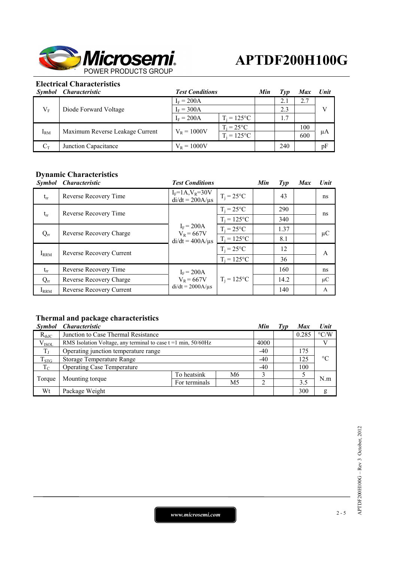

## **Electrical Characteristics**

| <i>Symbol</i> | <i><b>Characteristic</b></i>    | <b>Test Conditions</b> | Min                 | Tvp | <b>Max</b> | <b>Unit</b> |    |
|---------------|---------------------------------|------------------------|---------------------|-----|------------|-------------|----|
| $V_{\rm F}$   | Diode Forward Voltage           | $I_F = 200A$           |                     |     | 2.1        | 2.7         |    |
|               |                                 | $I_F = 300A$           |                     |     | 2.3        |             |    |
|               |                                 | $I_F = 200A$           | $T_i = 125$ °C      |     | 1.7        |             |    |
| $I_{RM}$      | Maximum Reverse Leakage Current |                        | $T_i = 25^{\circ}C$ |     |            | 100         |    |
|               |                                 | $V_R = 1000V$          | $T_i = 125$ °C      |     |            | 600         | μA |
| Uт            | Junction Capacitance            | $V_{R} = 1000V$        |                     |     | 240        |             | pF |

## **Dynamic Characteristics**

| <i><b>Symbol</b></i> | <i><b>Characteristic</b></i> | <b>Test Conditions</b>                                | Min                 | $\mathcal{I}yp$ | <b>Max</b> | Unit |         |  |
|----------------------|------------------------------|-------------------------------------------------------|---------------------|-----------------|------------|------|---------|--|
| $t_{rr}$             | Reverse Recovery Time        | $I_F = 1A, V_R = 30V$<br>$di/dt = 200A/\mu s$         | $T_i = 25^{\circ}C$ |                 | 43         |      | ns      |  |
| $t_{rr}$             |                              | Reverse Recovery Time                                 |                     | $T_i = 25$ °C   |            | 290  |         |  |
|                      |                              | $I_F = 200A$<br>$V_R = 667V$<br>$di/dt = 400A/\mu s$  | $T_i = 125$ °C      |                 | 340        |      | ns      |  |
| $Q_{rr}$             | Reverse Recovery Charge      |                                                       | $T_i = 25^{\circ}C$ |                 | 1.37       |      | $\mu$ C |  |
|                      |                              |                                                       | $T_i = 125$ °C      |                 | 8.1        |      |         |  |
| $I_{RRM}$            | Reverse Recovery Current     |                                                       | $T_i = 25$ °C       |                 | 12         |      | A       |  |
|                      |                              |                                                       | $T_i = 125$ °C      |                 | 36         |      |         |  |
| $t_{rr}$             | Reverse Recovery Time        | $I_F = 200A$<br>$V_R = 667V$<br>$di/dt = 2000A/\mu s$ |                     |                 | 160        |      | ns      |  |
| $Q_{rr}$             | Reverse Recovery Charge      |                                                       | $T_i = 125$ °C      |                 | 14.2       |      | $\mu$ C |  |
| $I_{\rm RRM}$        | Reverse Recovery Current     |                                                       |                     |                 | 140        |      | A       |  |

# **Thermal and package characteristics**

| <b>Symbol</b> | <i><b>Characteristic</b></i>                                        |               |    | Min   | Typ | <b>Max</b> | Unit               |
|---------------|---------------------------------------------------------------------|---------------|----|-------|-----|------------|--------------------|
| $R_{thJC}$    | Junction to Case Thermal Resistance                                 |               |    |       |     | 0.285      | $\rm ^{\circ} C/W$ |
| $V_{ISOL}$    | RMS Isolation Voltage, any terminal to case $t = 1$ min, $50/60$ Hz |               |    | 4000  |     |            |                    |
| $T_{\rm J}$   | Operating junction temperature range                                |               |    | $-40$ |     | 175        | $\rm ^{\circ}C$    |
| $T_{STG}$     | <b>Storage Temperature Range</b>                                    |               |    | $-40$ |     | 125        |                    |
| $T_{\rm C}$   | <b>Operating Case Temperature</b>                                   |               |    | $-40$ |     | 100        |                    |
| Torque        |                                                                     | To heatsink   | M6 |       |     |            | N.m                |
|               | Mounting torque                                                     | For terminals | M5 | ◠     |     | 3.5        |                    |
| Wt            | Package Weight                                                      |               |    |       |     | 300        | g                  |

*www.microsemi.com* 2-5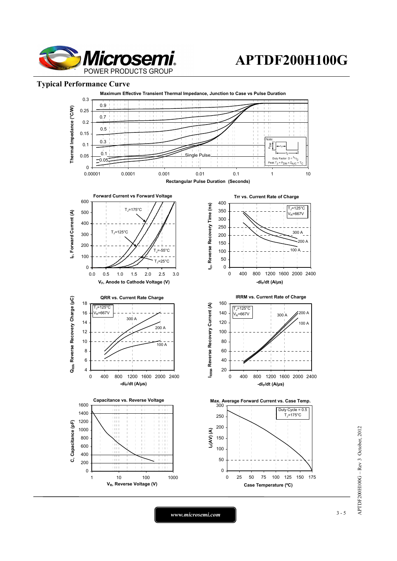

# **APTDF200H100G**

#### **Typical Performance Curve**



APTDF200H100G - Rev 3 October, 2012 APTDF200H100G – Rev 3 October, 2012

*www.microsemi.com* 3-5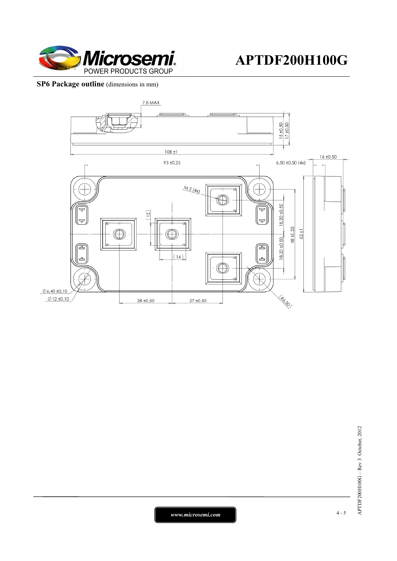

## **SP6 Package outline** (dimensions in mm)



APTDF200H100G - Rev 3 October, 2012 APTDF200H100G – Rev 3 October, 2012

*www.microsemi.com* 4-5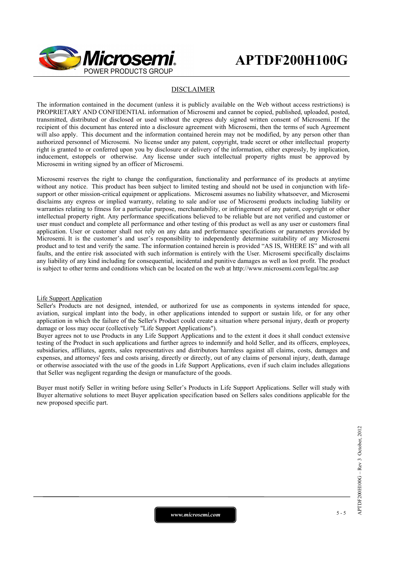

#### DISCLAIMER

The information contained in the document (unless it is publicly available on the Web without access restrictions) is PROPRIETARY AND CONFIDENTIAL information of Microsemi and cannot be copied, published, uploaded, posted, transmitted, distributed or disclosed or used without the express duly signed written consent of Microsemi. If the recipient of this document has entered into a disclosure agreement with Microsemi, then the terms of such Agreement will also apply. This document and the information contained herein may not be modified, by any person other than authorized personnel of Microsemi. No license under any patent, copyright, trade secret or other intellectual property right is granted to or conferred upon you by disclosure or delivery of the information, either expressly, by implication, inducement, estoppels or otherwise. Any license under such intellectual property rights must be approved by Microsemi in writing signed by an officer of Microsemi.

Microsemi reserves the right to change the configuration, functionality and performance of its products at anytime without any notice. This product has been subject to limited testing and should not be used in conjunction with lifesupport or other mission-critical equipment or applications. Microsemi assumes no liability whatsoever, and Microsemi disclaims any express or implied warranty, relating to sale and/or use of Microsemi products including liability or warranties relating to fitness for a particular purpose, merchantability, or infringement of any patent, copyright or other intellectual property right. Any performance specifications believed to be reliable but are not verified and customer or user must conduct and complete all performance and other testing of this product as well as any user or customers final application. User or customer shall not rely on any data and performance specifications or parameters provided by Microsemi. It is the customer's and user's responsibility to independently determine suitability of any Microsemi product and to test and verify the same. The information contained herein is provided "AS IS, WHERE IS" and with all faults, and the entire risk associated with such information is entirely with the User. Microsemi specifically disclaims any liability of any kind including for consequential, incidental and punitive damages as well as lost profit. The product is subject to other terms and conditions which can be located on the web at http://www.microsemi.com/legal/tnc.asp

#### Life Support Application

Seller's Products are not designed, intended, or authorized for use as components in systems intended for space, aviation, surgical implant into the body, in other applications intended to support or sustain life, or for any other application in which the failure of the Seller's Product could create a situation where personal injury, death or property damage or loss may occur (collectively "Life Support Applications").

Buyer agrees not to use Products in any Life Support Applications and to the extent it does it shall conduct extensive testing of the Product in such applications and further agrees to indemnify and hold Seller, and its officers, employees, subsidiaries, affiliates, agents, sales representatives and distributors harmless against all claims, costs, damages and expenses, and attorneys' fees and costs arising, directly or directly, out of any claims of personal injury, death, damage or otherwise associated with the use of the goods in Life Support Applications, even if such claim includes allegations that Seller was negligent regarding the design or manufacture of the goods.

Buyer must notify Seller in writing before using Seller's Products in Life Support Applications. Seller will study with Buyer alternative solutions to meet Buyer application specification based on Sellers sales conditions applicable for the new proposed specific part.